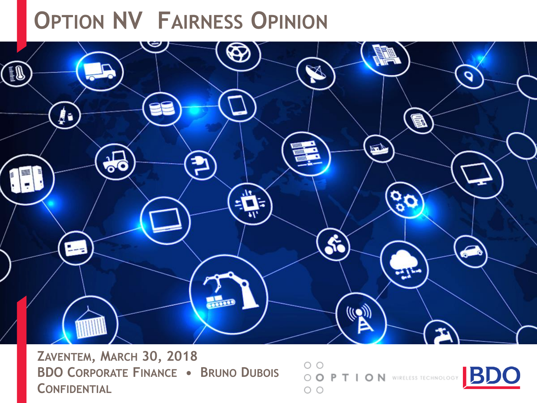# **OPTION NV FAIRNESS OPINION**



 $\circ$   $\circ$ 

 $\circ$ 

**ZAVENTEM, MARCH 30, 2018 BDO CORPORATE FINANCE • BRUNO DUBOIS CONFIDENTIAL**

O O P T I O N WIRELESS TECHNOLOGY

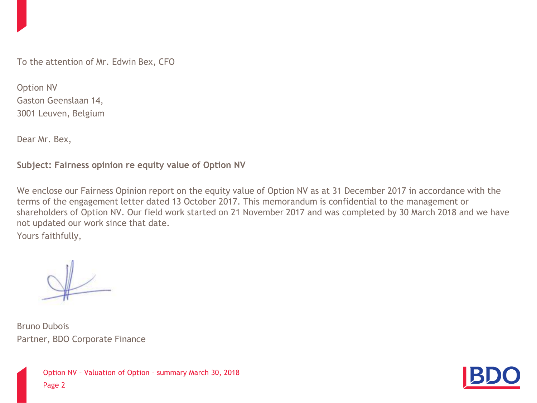To the attention of Mr. Edwin Bex, CFO

Option NV Gaston Geenslaan 14, 3001 Leuven, Belgium

Dear Mr. Bex,

**Subject: Fairness opinion re equity value of Option NV**

We enclose our Fairness Opinion report on the equity value of Option NV as at 31 December 2017 in accordance with the terms of the engagement letter dated 13 October 2017. This memorandum is confidential to the management or shareholders of Option NV. Our field work started on 21 November 2017 and was completed by 30 March 2018 and we have not updated our work since that date.

Yours faithfully,

Bruno Dubois Partner, BDO Corporate Finance

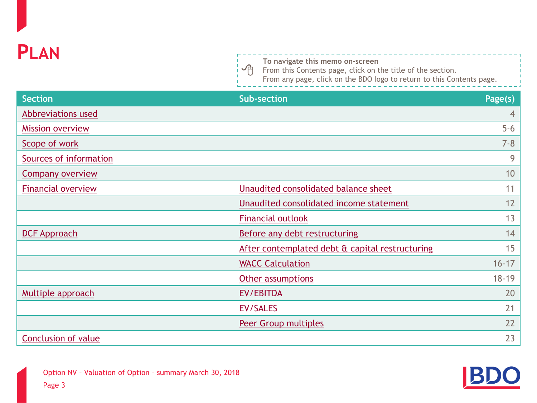

一门

**To navigate this memo on-screen**

From this Contents page, click on the title of the section.

From any page, click on the BDO logo to return to this Contents page.

| <b>Section</b>             | <b>Sub-section</b>                              | Page(s)        |
|----------------------------|-------------------------------------------------|----------------|
| Abbreviations used         |                                                 | $\overline{4}$ |
| <b>Mission overview</b>    |                                                 | $5-6$          |
| Scope of work              |                                                 | $7 - 8$        |
| Sources of information     |                                                 | 9              |
| <b>Company overview</b>    |                                                 | 10             |
| <b>Financial overview</b>  | Unaudited consolidated balance sheet            | 11             |
|                            | Unaudited consolidated income statement         | 12             |
|                            | <b>Financial outlook</b>                        | 13             |
| <b>DCF Approach</b>        | Before any debt restructuring                   | 14             |
|                            | After contemplated debt & capital restructuring | 15             |
|                            | <b>WACC Calculation</b>                         | $16 - 17$      |
|                            | Other assumptions                               | $18 - 19$      |
| Multiple approach          | EV/EBITDA                                       | 20             |
|                            | EV/SALES                                        | 21             |
|                            | <b>Peer Group multiples</b>                     | 22             |
| <b>Conclusion of value</b> |                                                 | 23             |

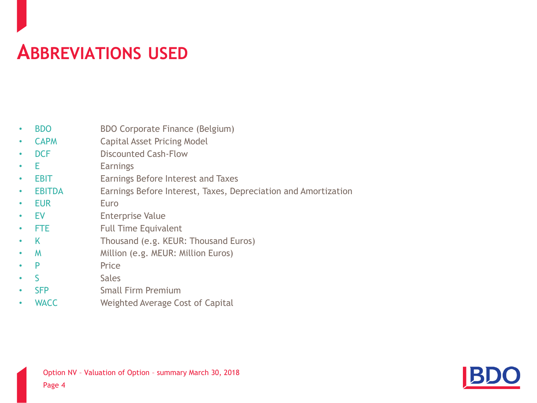#### <span id="page-3-0"></span>**ABBREVIATIONS USED**

|  | <b>BDO</b> | <b>BDO Corporate Finance (Belgium)</b> |  |  |
|--|------------|----------------------------------------|--|--|
|--|------------|----------------------------------------|--|--|

- CAPM Capital Asset Pricing Model
- **DCF Discounted Cash-Flow**
- E Earnings
- **EBIT Earnings Before Interest and Taxes**
- EBITDA Earnings Before Interest, Taxes, Depreciation and Amortization
- EUR Euro
- EV Enterprise Value
- **FTE** Full Time Equivalent
- K Thousand (e.g. KEUR: Thousand Euros)
- M Million (e.g. MEUR: Million Euros)
- **P** Price
- S<sub>ales</sub>
- **SFP** Small Firm Premium
- WACC Weighted Average Cost of Capital

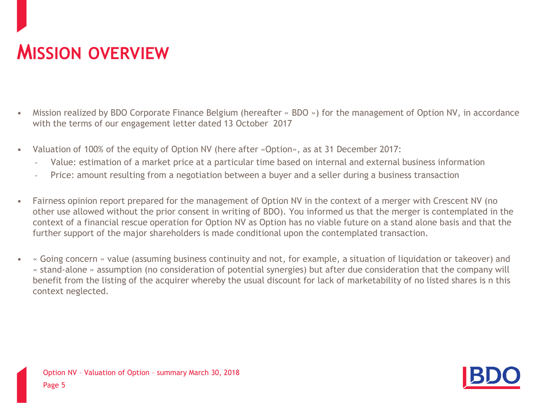#### <span id="page-4-0"></span>**MISSION OVERVIEW**

- Mission realized by BDO Corporate Finance Belgium (hereafter « BDO ») for the management of Option NV, in accordance with the terms of our engagement letter dated 13 October 2017
- Valuation of 100% of the equity of Option NV (here after «Option», as at 31 December 2017:
	- Value: estimation of a market price at a particular time based on internal and external business information
	- Price: amount resulting from a negotiation between a buyer and a seller during a business transaction
- Fairness opinion report prepared for the management of Option NV in the context of a merger with Crescent NV (no other use allowed without the prior consent in writing of BDO). You informed us that the merger is contemplated in the context of a financial rescue operation for Option NV as Option has no viable future on a stand alone basis and that the further support of the major shareholders is made conditional upon the contemplated transaction.
- « Going concern » value (assuming business continuity and not, for example, a situation of liquidation or takeover) and « stand-alone » assumption (no consideration of potential synergies) but after due consideration that the company will benefit from the listing of the acquirer whereby the usual discount for lack of marketability of no listed shares is n this context neglected.

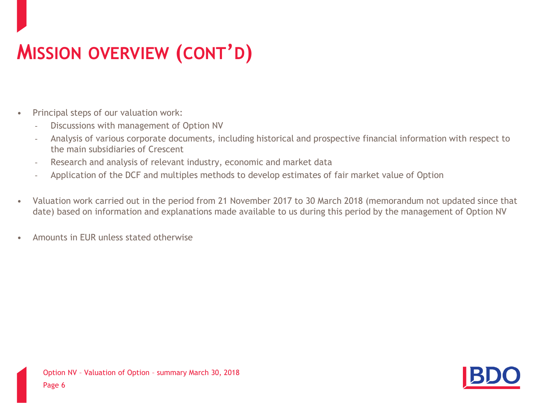# <span id="page-5-0"></span>**MISSION OVERVIEW (CONT'D)**

- Principal steps of our valuation work:
	- Discussions with management of Option NV
	- Analysis of various corporate documents, including historical and prospective financial information with respect to the main subsidiaries of Crescent
	- Research and analysis of relevant industry, economic and market data
	- Application of the DCF and multiples methods to develop estimates of fair market value of Option
- Valuation work carried out in the period from 21 November 2017 to 30 March 2018 (memorandum not updated since that date) based on information and explanations made available to us during this period by the management of Option NV
- Amounts in EUR unless stated otherwise

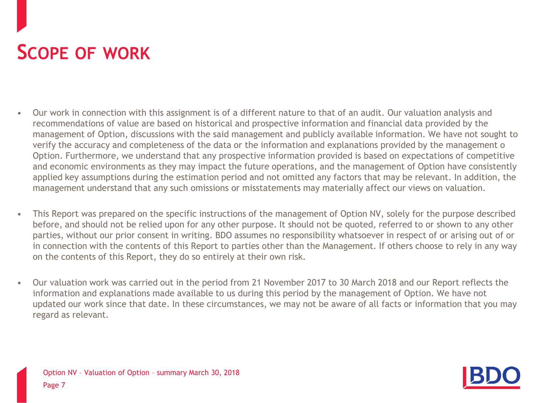#### <span id="page-6-0"></span>**SCOPE OF WORK**

- Our work in connection with this assignment is of a different nature to that of an audit. Our valuation analysis and recommendations of value are based on historical and prospective information and financial data provided by the management of Option, discussions with the said management and publicly available information. We have not sought to verify the accuracy and completeness of the data or the information and explanations provided by the management o Option. Furthermore, we understand that any prospective information provided is based on expectations of competitive and economic environments as they may impact the future operations, and the management of Option have consistently applied key assumptions during the estimation period and not omitted any factors that may be relevant. In addition, the management understand that any such omissions or misstatements may materially affect our views on valuation.
- This Report was prepared on the specific instructions of the management of Option NV, solely for the purpose described before, and should not be relied upon for any other purpose. It should not be quoted, referred to or shown to any other parties, without our prior consent in writing. BDO assumes no responsibility whatsoever in respect of or arising out of or in connection with the contents of this Report to parties other than the Management. If others choose to rely in any way on the contents of this Report, they do so entirely at their own risk.
- Our valuation work was carried out in the period from 21 November 2017 to 30 March 2018 and our Report reflects the information and explanations made available to us during this period by the management of Option. We have not updated our work since that date. In these circumstances, we may not be aware of all facts or information that you may regard as relevant.

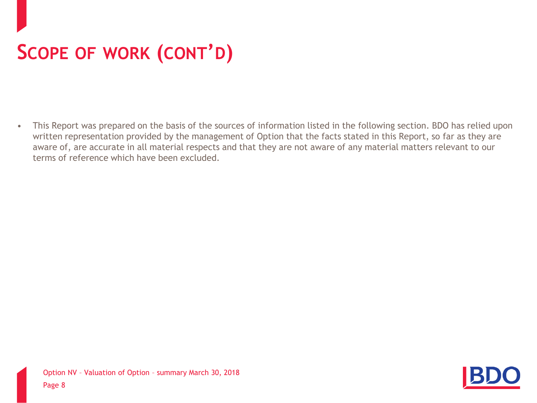# <span id="page-7-0"></span>**SCOPE OF WORK (CONT'D)**

• This Report was prepared on the basis of the sources of information listed in the following section. BDO has relied upon written representation provided by the management of Option that the facts stated in this Report, so far as they are aware of, are accurate in all material respects and that they are not aware of any material matters relevant to our terms of reference which have been excluded.

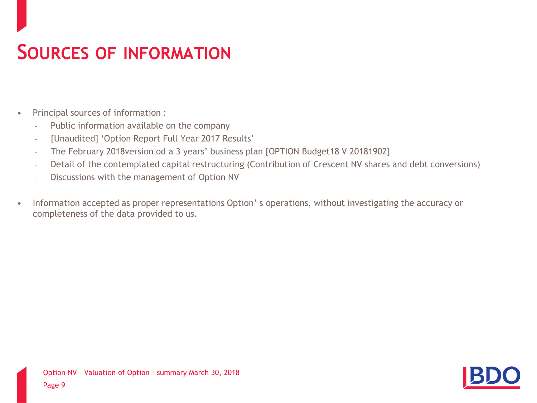#### **SOURCES OF INFORMATION**

- Principal sources of information :
	- Public information available on the company
	- [Unaudited] 'Option Report Full Year 2017 Results'
	- The February 2018version od a 3 years' business plan [OPTION Budget18 V 20181902]
	- Detail of the contemplated capital restructuring (Contribution of Crescent NV shares and debt conversions)
	- Discussions with the management of Option NV
- Information accepted as proper representations Option' s operations, without investigating the accuracy or completeness of the data provided to us.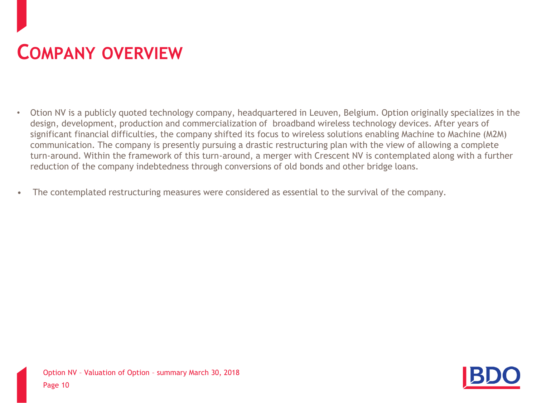#### **COMPANY OVERVIEW**

- Otion NV is a publicly quoted technology company, headquartered in Leuven, Belgium. Option originally specializes in the design, development, production and commercialization of broadband wireless technology devices. After years of significant financial difficulties, the company shifted its focus to wireless solutions enabling Machine to Machine (M2M) communication. The company is presently pursuing a drastic restructuring plan with the view of allowing a complete turn-around. Within the framework of this turn-around, a merger with Crescent NV is contemplated along with a further reduction of the company indebtedness through conversions of old bonds and other bridge loans.
- The contemplated restructuring measures were considered as essential to the survival of the company.

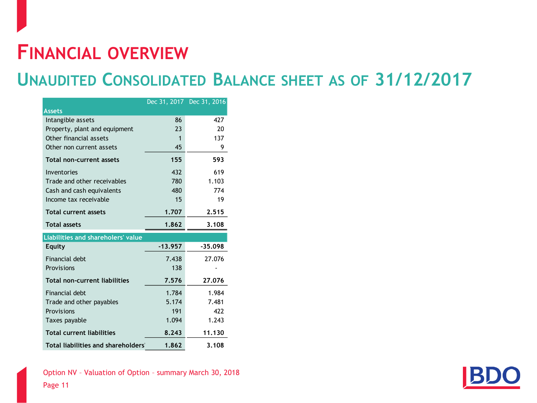#### <span id="page-10-0"></span>**FINANCIAL OVERVIEW**

#### **UNAUDITED CONSOLIDATED BALANCE SHEET AS OF 31/12/2017**

|                                      |             | Dec 31, 2017 Dec 31, 2016 |
|--------------------------------------|-------------|---------------------------|
| <b>Assets</b>                        |             |                           |
| Intangible assets                    | 86          | 427                       |
| Property, plant and equipment        | 23          | 20                        |
| Other financial assets               | $\mathbf 1$ | 137                       |
| Other non current assets             | 45          | 9                         |
| Total non-current assets             | 155         | 593                       |
| Inventories                          | 432         | 619                       |
| Trade and other receivables          | 780         | 1.103                     |
| Cash and cash equivalents            | 480         | 774                       |
| Income tax receivable                | 15          | 19                        |
| <b>Total current assets</b>          | 1.707       | 2.515                     |
| <b>Total assets</b>                  | 1.862       | 3.108                     |
| Liabilities and shareholers' value   |             |                           |
| Equity                               | $-13.957$   | $-35.098$                 |
| Financial debt                       | 7.438       | 27.076                    |
| Provisions                           | 138         |                           |
| <b>Total non-current liabilities</b> | 7.576       | 27.076                    |
| Financial debt                       | 1.784       | 1.984                     |
| Trade and other payables             | 5.174       | 7.481                     |
| Provisions                           | 191         | 422                       |
| Taxes payable                        | 1.094       | 1.243                     |
| <b>Total current liabilities</b>     | 8.243       | 11.130                    |
| Total liabilities and shareholders   | 1.862       | 3.108                     |

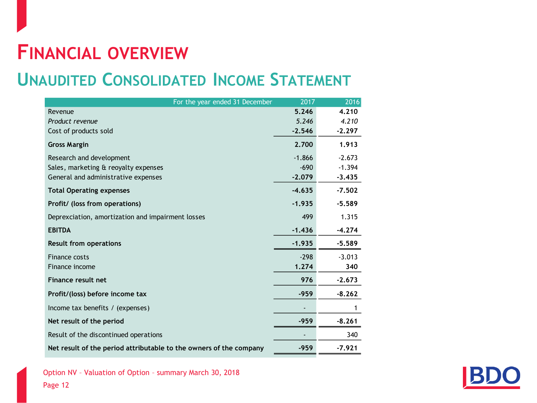#### <span id="page-11-0"></span>**FINANCIAL OVERVIEW**

#### **UNAUDITED CONSOLIDATED INCOME STATEMENT**

| 5.246<br>4.210<br>Revenue<br>5.246<br>4.210<br>Product revenue<br>$-2.546$<br>$-2.297$<br>Cost of products sold<br>2.700<br>1.913<br><b>Gross Margin</b><br>$-1.866$<br>Research and development<br>$-2.673$<br>$-690$<br>$-1.394$<br>Sales, marketing & reoyalty expenses<br>$-2.079$<br>General and administrative expenses<br>$-3.435$<br>$-4.635$<br>$-7.502$<br><b>Total Operating expenses</b><br>$-1.935$<br>$-5.589$<br>Profit/ (loss from operations)<br>1.315<br>499<br>Deprexciation, amortization and impairment losses<br>$-1.436$<br><b>EBITDA</b><br>$-4.274$<br>$-1.935$<br>$-5.589$<br><b>Result from operations</b><br>Finance costs<br>$-298$<br>$-3.013$<br>1.274<br>Finance income<br>340<br><b>Finance result net</b><br>976<br>$-2.673$<br>$-959$<br>$-8.262$<br>Profit/(loss) before income tax<br>Income tax benefits / (expenses)<br>Net result of the period<br>$-959$<br>$-8.261$<br>Result of the discontinued operations<br>340 | For the year ended 31 December                                     | 2017   | 2016     |
|---------------------------------------------------------------------------------------------------------------------------------------------------------------------------------------------------------------------------------------------------------------------------------------------------------------------------------------------------------------------------------------------------------------------------------------------------------------------------------------------------------------------------------------------------------------------------------------------------------------------------------------------------------------------------------------------------------------------------------------------------------------------------------------------------------------------------------------------------------------------------------------------------------------------------------------------------------------|--------------------------------------------------------------------|--------|----------|
|                                                                                                                                                                                                                                                                                                                                                                                                                                                                                                                                                                                                                                                                                                                                                                                                                                                                                                                                                               |                                                                    |        |          |
|                                                                                                                                                                                                                                                                                                                                                                                                                                                                                                                                                                                                                                                                                                                                                                                                                                                                                                                                                               |                                                                    |        |          |
|                                                                                                                                                                                                                                                                                                                                                                                                                                                                                                                                                                                                                                                                                                                                                                                                                                                                                                                                                               |                                                                    |        |          |
|                                                                                                                                                                                                                                                                                                                                                                                                                                                                                                                                                                                                                                                                                                                                                                                                                                                                                                                                                               |                                                                    |        |          |
|                                                                                                                                                                                                                                                                                                                                                                                                                                                                                                                                                                                                                                                                                                                                                                                                                                                                                                                                                               |                                                                    |        |          |
|                                                                                                                                                                                                                                                                                                                                                                                                                                                                                                                                                                                                                                                                                                                                                                                                                                                                                                                                                               |                                                                    |        |          |
|                                                                                                                                                                                                                                                                                                                                                                                                                                                                                                                                                                                                                                                                                                                                                                                                                                                                                                                                                               |                                                                    |        |          |
|                                                                                                                                                                                                                                                                                                                                                                                                                                                                                                                                                                                                                                                                                                                                                                                                                                                                                                                                                               |                                                                    |        |          |
|                                                                                                                                                                                                                                                                                                                                                                                                                                                                                                                                                                                                                                                                                                                                                                                                                                                                                                                                                               |                                                                    |        |          |
|                                                                                                                                                                                                                                                                                                                                                                                                                                                                                                                                                                                                                                                                                                                                                                                                                                                                                                                                                               |                                                                    |        |          |
|                                                                                                                                                                                                                                                                                                                                                                                                                                                                                                                                                                                                                                                                                                                                                                                                                                                                                                                                                               |                                                                    |        |          |
|                                                                                                                                                                                                                                                                                                                                                                                                                                                                                                                                                                                                                                                                                                                                                                                                                                                                                                                                                               |                                                                    |        |          |
|                                                                                                                                                                                                                                                                                                                                                                                                                                                                                                                                                                                                                                                                                                                                                                                                                                                                                                                                                               |                                                                    |        |          |
|                                                                                                                                                                                                                                                                                                                                                                                                                                                                                                                                                                                                                                                                                                                                                                                                                                                                                                                                                               |                                                                    |        |          |
|                                                                                                                                                                                                                                                                                                                                                                                                                                                                                                                                                                                                                                                                                                                                                                                                                                                                                                                                                               |                                                                    |        |          |
|                                                                                                                                                                                                                                                                                                                                                                                                                                                                                                                                                                                                                                                                                                                                                                                                                                                                                                                                                               |                                                                    |        |          |
|                                                                                                                                                                                                                                                                                                                                                                                                                                                                                                                                                                                                                                                                                                                                                                                                                                                                                                                                                               |                                                                    |        |          |
|                                                                                                                                                                                                                                                                                                                                                                                                                                                                                                                                                                                                                                                                                                                                                                                                                                                                                                                                                               |                                                                    |        |          |
|                                                                                                                                                                                                                                                                                                                                                                                                                                                                                                                                                                                                                                                                                                                                                                                                                                                                                                                                                               |                                                                    |        |          |
|                                                                                                                                                                                                                                                                                                                                                                                                                                                                                                                                                                                                                                                                                                                                                                                                                                                                                                                                                               | Net result of the period attributable to the owners of the company | $-959$ | $-7.921$ |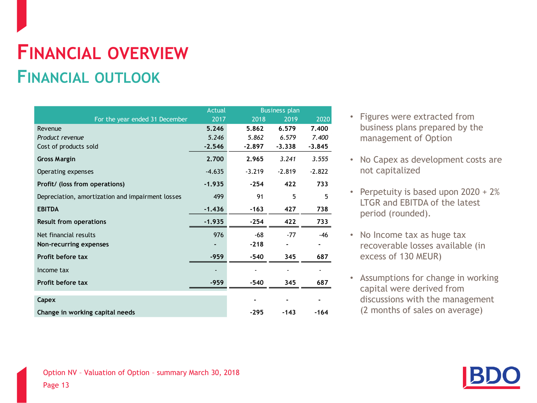#### **FINANCIAL OVERVIEW FINANCIAL OUTLOOK**

|                                                  | <b>Actual</b> |          | <b>Business plan</b> |          |
|--------------------------------------------------|---------------|----------|----------------------|----------|
| For the year ended 31 December                   | 2017          | 2018     | 2019                 | 2020     |
| Revenue                                          | 5.246         | 5.862    | 6.579                | 7.400    |
| Product revenue                                  | 5.246         | 5.862    | 6.579                | 7.400    |
| Cost of products sold                            | $-2.546$      | $-2.897$ | $-3.338$             | $-3.845$ |
| <b>Gross Margin</b>                              | 2.700         | 2.965    | 3.241                | 3.555    |
| Operating expenses                               | $-4.635$      | $-3.219$ | $-2.819$             | $-2.822$ |
| Profit/ (loss from operations)                   | $-1.935$      | $-254$   | 422                  | 733      |
| Depreciation, amortization and impairment losses | 499           | 91       | 5                    | 5        |
| <b>EBITDA</b>                                    | $-1.436$      | $-163$   | 427                  | 738      |
| <b>Result from operations</b>                    | $-1.935$      | $-254$   | 422                  | 733      |
| Net financial results                            | 976           | $-68$    | $-77$                | $-46$    |
| Non-recurring expenses                           |               | $-218$   |                      |          |
| Profit before tax                                | $-959$        | $-540$   | 345                  | 687      |
| Income tax                                       |               |          |                      |          |
| Profit before tax                                | $-959$        | $-540$   | 345                  | 687      |
| Capex                                            |               |          |                      |          |
|                                                  |               |          |                      |          |
| Change in working capital needs                  |               | $-295$   | $-143$               | $-164$   |

- Figures were extracted from business plans prepared by the management of Option
- No Capex as development costs are not capitalized
- Perpetuity is based upon 2020 + 2% LTGR and EBITDA of the latest period (rounded).
- No Income tax as huge tax recoverable losses available (in excess of 130 MEUR)
- Assumptions for change in working capital were derived from discussions with the management (2 months of sales on average)

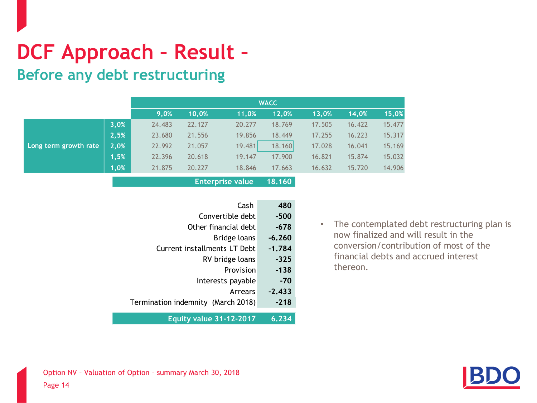# <span id="page-13-0"></span>**DCF Approach – Result –**

**Before any debt restructuring**

|                       |      |        |        |        | <b>WACC</b> |        |        |        |
|-----------------------|------|--------|--------|--------|-------------|--------|--------|--------|
|                       |      | 9,0%   | 10.0%  | 11,0%  | 12,0%       | 13,0%  | 14,0%  | 15,0%  |
|                       | 3,0% | 24.483 | 22.127 | 20.277 | 18.769      | 17.505 | 16.422 | 15.477 |
|                       | 2,5% | 23.680 | 21.556 | 19.856 | 18.449      | 17.255 | 16.223 | 15.317 |
| Long term growth rate | 2,0% | 22.992 | 21.057 | 19.481 | 18.160      | 17.028 | 16.041 | 15.169 |
|                       | 1,5% | 22.396 | 20.618 | 19.147 | 17.900      | 16.821 | 15.874 | 15.032 |
|                       | 1,0% | 21.875 | 20.227 | 18.846 | 17.663      | 16.632 | 15.720 | 14.906 |
|                       |      |        |        |        |             |        |        |        |

**Enterprise value 18.160**

| 480      | Cash                               |
|----------|------------------------------------|
| -500     | Convertible debt                   |
| -678     | Other financial debt               |
| $-6.260$ | Bridge loans                       |
| $-1.784$ | Current installments LT Debt       |
| -325     | RV bridge loans                    |
| -138     | Provision                          |
| $-70$    | Interests payable                  |
| $-2.433$ | Arrears                            |
| $-218$   | Termination indemnity (March 2018) |
|          |                                    |
| 6.234    | <b>Equity value 31-12-2017</b>     |

• The contemplated debt restructuring plan is now finalized and will result in the conversion/contribution of most of the financial debts and accrued interest thereon.

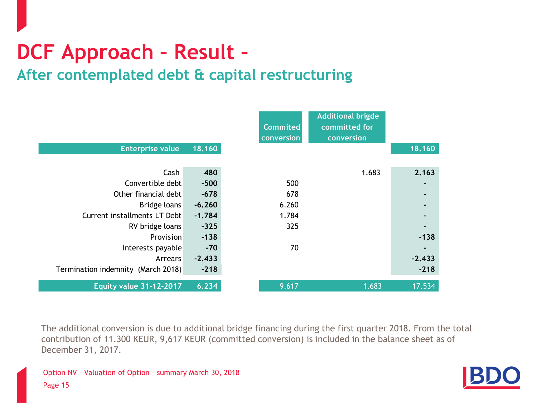# <span id="page-14-0"></span>**DCF Approach – Result –**

#### **After contemplated debt & capital restructuring**

| <b>Enterprise value</b>            | 18.160   | <b>Commited</b><br>conversion | <b>Additional brigde</b><br>committed for<br>conversion | 18.160   |
|------------------------------------|----------|-------------------------------|---------------------------------------------------------|----------|
|                                    |          |                               |                                                         |          |
| Cash                               | 480      |                               | 1.683                                                   | 2.163    |
| Convertible debt                   | $-500$   | 500                           |                                                         | ۰        |
| Other financial debt               | $-678$   | 678                           |                                                         |          |
| Bridge loans                       | $-6.260$ | 6.260                         |                                                         |          |
| Current installments LT Debt       | $-1.784$ | 1.784                         |                                                         |          |
| RV bridge loans                    | $-325$   | 325                           |                                                         |          |
| Provision                          | $-138$   |                               |                                                         | $-138$   |
| Interests payable                  | $-70$    | 70                            |                                                         |          |
| Arrears                            | $-2.433$ |                               |                                                         | $-2.433$ |
| Termination indemnity (March 2018) | $-218$   |                               |                                                         | $-218$   |
| <b>Equity value 31-12-2017</b>     | 6.234    | 9.617                         | 1.683                                                   | 17.534   |

The additional conversion is due to additional bridge financing during the first quarter 2018. From the total contribution of 11.300 KEUR, 9,617 KEUR (committed conversion) is included in the balance sheet as of December 31, 2017.

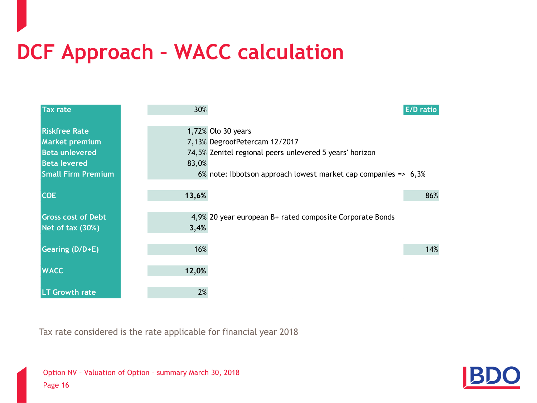# <span id="page-15-0"></span>**DCF Approach – WACC calculation**

| <b>Tax rate</b>           | 30%   | <b>E/D</b> ratio                                                  |
|---------------------------|-------|-------------------------------------------------------------------|
|                           |       |                                                                   |
| <b>Riskfree Rate</b>      |       | 1,72% Olo 30 years                                                |
| <b>Market premium</b>     |       | 7,13% DegroofPetercam 12/2017                                     |
| <b>Beta unlevered</b>     |       | 74,5% Zenitel regional peers unlevered 5 years' horizon           |
| <b>Beta levered</b>       | 83,0% |                                                                   |
| <b>Small Firm Premium</b> |       | 6% note: Ibbotson approach lowest market cap companies => $6,3\%$ |
|                           |       |                                                                   |
| <b>COE</b>                | 13,6% | 86%                                                               |
|                           |       |                                                                   |
| <b>Gross cost of Debt</b> |       | 4,9% 20 year european B+ rated composite Corporate Bonds          |
| Net of tax (30%)          | 3,4%  |                                                                   |
|                           |       |                                                                   |
| Gearing (D/D+E)           | 16%   | 14%                                                               |
|                           |       |                                                                   |
| <b>WACC</b>               | 12,0% |                                                                   |
|                           |       |                                                                   |
| <b>LT Growth rate</b>     | 2%    |                                                                   |

Tax rate considered is the rate applicable for financial year 2018

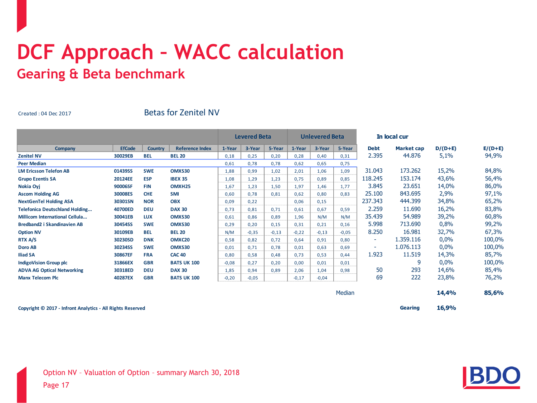#### **DCF Approach – WACC calculation Gearing & Beta benchmark**

Created : 04 Dec 2017

#### Betas for Zenitel NV

|                                       |               |                |                        |         | <b>Levered Beta</b> |         |         | <b>Unlevered Beta</b> |         |             | In local cur      |           |           |
|---------------------------------------|---------------|----------------|------------------------|---------|---------------------|---------|---------|-----------------------|---------|-------------|-------------------|-----------|-----------|
| <b>Company</b>                        | <b>EfCode</b> | <b>Country</b> | <b>Reference Index</b> | 1-Year  | 3-Year              | 5-Year  | 1-Year  | 3-Year                | 5-Year  | <b>Debt</b> | <b>Market cap</b> | $D/(D+E)$ | $E/(D+E)$ |
| <b>Zenitel NV</b>                     | 30029EB       | <b>BEL</b>     | <b>BEL 20</b>          | 0,18    | 0,25                | 0,20    | 0,28    | 0,40                  | 0,31    | 2.395       | 44.876            | 5,1%      | 94,9%     |
| <b>Peer Median</b>                    |               |                |                        | 0,61    | 0,78                | 0,78    | 0,62    | 0,65                  | 0,75    |             |                   |           |           |
| <b>LM Ericsson Telefon AB</b>         | 01439SS       | <b>SWE</b>     | OMXS30                 | 1,88    | 0,99                | 1,02    | 2,01    | 1,06                  | 1,09    | 31.043      | 173.262           | 15,2%     | 84,8%     |
| <b>Grupo Ezentis SA</b>               | 20124EE       | <b>ESP</b>     | <b>IBEX 35</b>         | 1,08    | 1,29                | 1,23    | 0,75    | 0,89                  | 0,85    | 118.245     | 153.174           | 43,6%     | 56,4%     |
| Nokia Oyj                             | 90006SF       | <b>FIN</b>     | OMXH <sub>25</sub>     | 1,67    | 1,23                | 1,50    | 1,97    | 1,46                  | 1,77    | 3.845       | 23.651            | 14,0%     | 86,0%     |
| <b>Ascom Holding AG</b>               | 30008ES       | <b>CHE</b>     | <b>SMI</b>             | 0,60    | 0,78                | 0,81    | 0,62    | 0,80                  | 0,83    | 25.100      | 843.695           | 2,9%      | 97,1%     |
| <b>NextGenTel Holding ASA</b>         | 30301SN       | <b>NOR</b>     | <b>OBX</b>             | 0,09    | 0,22                |         | 0,06    | 0,15                  |         | 237.343     | 444.399           | 34,8%     | 65,2%     |
| <b>Telefonica Deutschland Holding</b> | 40700ED       | <b>DEU</b>     | <b>DAX 30</b>          | 0,73    | 0,81                | 0,71    | 0,61    | 0,67                  | 0,59    | 2.259       | 11.690            | 16,2%     | 83,8%     |
| <b>Millicom International Cellula</b> | 30041EB       | <b>LUX</b>     | OMXS30                 | 0,61    | 0,86                | 0,89    | 1,96    | N/M                   | N/M     | 35.439      | 54.989            | 39,2%     | 60,8%     |
| Bredband2 i Skandinavien AB           | 30454SS       | <b>SWE</b>     | OMXS30                 | 0,29    | 0,20                | 0,15    | 0,31    | 0,21                  | 0,16    | 5.998       | 713.690           | 0,8%      | 99,2%     |
| <b>Option NV</b>                      | 30109EB       | <b>BEL</b>     | <b>BEL 20</b>          | N/M     | $-0,35$             | $-0,13$ | $-0,22$ | $-0,13$               | $-0,05$ | 8.250       | 16.981            | 32,7%     | 67,3%     |
| RTX A/S                               | 30230SD       | <b>DNK</b>     | OMXC20                 | 0,58    | 0,82                | 0,72    | 0,64    | 0,91                  | 0,80    | ۰.          | 1.359.116         | 0,0%      | 100,0%    |
| Doro AB                               | 30234SS       | <b>SWE</b>     | OMXS30                 | 0,01    | 0,71                | 0,78    | 0,01    | 0,63                  | 0,69    | ٠           | 1.076.113         | 0,0%      | 100,0%    |
| <b>Iliad SA</b>                       | 30867EF       | <b>FRA</b>     | <b>CAC 40</b>          | 0,80    | 0,58                | 0,48    | 0,73    | 0,53                  | 0,44    | 1.923       | 11.519            | 14,3%     | 85,7%     |
| <b>IndigoVision Group plc</b>         | 31866EX       | <b>GBR</b>     | <b>BATS UK 100</b>     | $-0,08$ | 0,27                | 0,20    | 0,00    | 0,01                  | 0,01    |             | 9                 | 0,0%      | 100,0%    |
| <b>ADVA AG Optical Networking</b>     | 30318ED       | <b>DEU</b>     | <b>DAX 30</b>          | 1,85    | 0,94                | 0,89    | 2,06    | 1,04                  | 0,98    | 50          | 293               | 14,6%     | 85,4%     |
| <b>Manx Telecom Plc</b>               | 40287EX       | <b>GBR</b>     | <b>BATS UK 100</b>     | $-0,20$ | $-0,05$             |         | $-0,17$ | $-0,04$               |         | 69          | 222               | 23,8%     | 76,2%     |
|                                       |               |                |                        |         |                     |         |         |                       | Median  |             |                   | 14,4%     | 85,6%     |

**Copyright © 2017 - Infront Analytics - All Rights Reserved Gearing 16,9%**

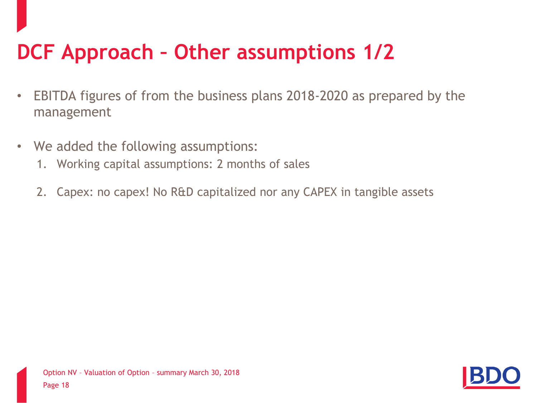# <span id="page-17-0"></span>**DCF Approach – Other assumptions 1/2**

- EBITDA figures of from the business plans 2018-2020 as prepared by the management
- We added the following assumptions:
	- 1. Working capital assumptions: 2 months of sales
	- 2. Capex: no capex! No R&D capitalized nor any CAPEX in tangible assets

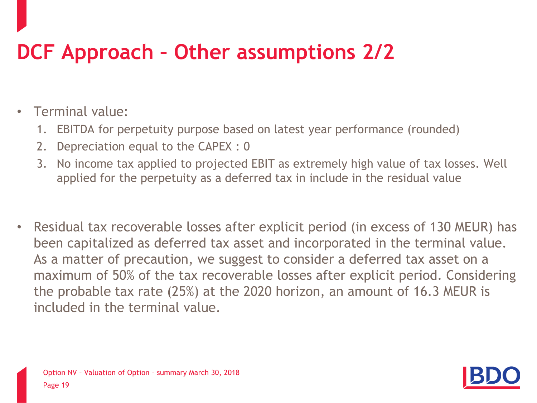# **DCF Approach – Other assumptions 2/2**

- Terminal value:
	- 1. EBITDA for perpetuity purpose based on latest year performance (rounded)
	- 2. Depreciation equal to the CAPEX : 0
	- 3. No income tax applied to projected EBIT as extremely high value of tax losses. Well applied for the perpetuity as a deferred tax in include in the residual value
- Residual tax recoverable losses after explicit period (in excess of 130 MEUR) has been capitalized as deferred tax asset and incorporated in the terminal value. As a matter of precaution, we suggest to consider a deferred tax asset on a maximum of 50% of the tax recoverable losses after explicit period. Considering the probable tax rate (25%) at the 2020 horizon, an amount of 16.3 MEUR is included in the terminal value.

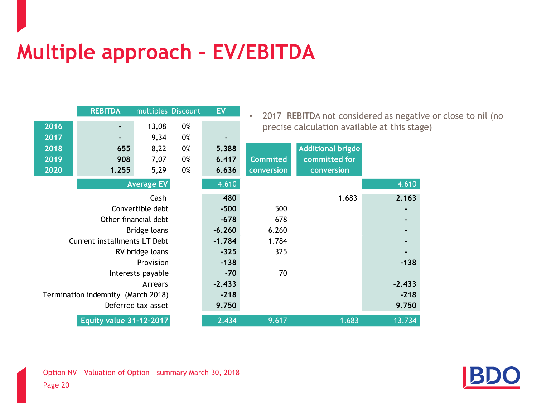# <span id="page-19-0"></span>**Multiple approach – EV/EBITDA**

|      | <b>REBITDA</b>                     | multiples Discount   |    | <b>EV</b> | $\bullet$       |                                              |          | 2017 REBITDA not considered as negative or close to nil (no |
|------|------------------------------------|----------------------|----|-----------|-----------------|----------------------------------------------|----------|-------------------------------------------------------------|
| 2016 | ٠                                  | 13,08                | 0% |           |                 | precise calculation available at this stage) |          |                                                             |
| 2017 |                                    | 9,34                 | 0% |           |                 |                                              |          |                                                             |
| 2018 | 655                                | 8,22                 | 0% | 5.388     |                 | <b>Additional brigde</b>                     |          |                                                             |
| 2019 | 908                                | 7,07                 | 0% | 6.417     | <b>Commited</b> | committed for                                |          |                                                             |
| 2020 | 1.255                              | 5,29                 | 0% | 6.636     | conversion      | conversion                                   |          |                                                             |
|      |                                    | <b>Average EV</b>    |    | 4.610     |                 |                                              | 4.610    |                                                             |
|      |                                    | Cash                 |    | 480       |                 | 1.683                                        | 2.163    |                                                             |
|      |                                    | Convertible debt     |    | $-500$    | 500             |                                              |          |                                                             |
|      |                                    | Other financial debt |    | $-678$    | 678             |                                              | ٠        |                                                             |
|      |                                    | Bridge loans         |    | $-6.260$  | 6.260           |                                              | ٠        |                                                             |
|      | Current installments LT Debt       |                      |    | $-1.784$  | 1.784           |                                              |          |                                                             |
|      |                                    | RV bridge loans      |    | $-325$    | 325             |                                              |          |                                                             |
|      |                                    | Provision            |    | $-138$    |                 |                                              | $-138$   |                                                             |
|      |                                    | Interests payable    |    | $-70$     | 70              |                                              |          |                                                             |
|      |                                    | Arrears              |    | $-2.433$  |                 |                                              | $-2.433$ |                                                             |
|      | Termination indemnity (March 2018) |                      |    | $-218$    |                 |                                              | $-218$   |                                                             |
|      |                                    | Deferred tax asset   |    | 9.750     |                 |                                              | 9.750    |                                                             |
|      | <b>Equity value 31-12-2017</b>     |                      |    | 2.434     | 9.617           | 1.683                                        | 13.734   |                                                             |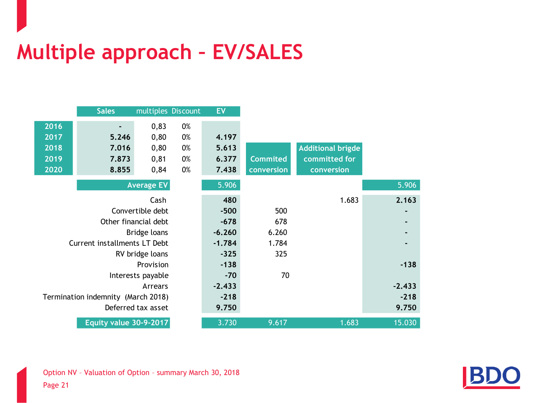# <span id="page-20-0"></span>**Multiple approach – EV/SALES**

|      | <b>Sales</b>                       | multiples Discount   |    | <b>EV</b> |                 |                          |  |
|------|------------------------------------|----------------------|----|-----------|-----------------|--------------------------|--|
| 2016 |                                    | 0,83                 | 0% |           |                 |                          |  |
| 2017 | 5.246                              | 0,80                 | 0% | 4.197     |                 |                          |  |
| 2018 | 7.016                              | 0,80                 | 0% | 5.613     |                 | <b>Additional brigde</b> |  |
| 2019 | 7.873                              | 0,81                 | 0% | 6.377     | <b>Commited</b> | committed for            |  |
| 2020 | 8.855                              | 0,84                 | 0% | 7.438     | conversion      | conversion               |  |
|      |                                    | <b>Average EV</b>    |    | 5.906     |                 |                          |  |
|      |                                    | Cash                 |    | 480       |                 | 1.683                    |  |
|      |                                    | Convertible debt     |    | $-500$    | 500             |                          |  |
|      |                                    | Other financial debt |    | $-678$    | 678             |                          |  |
|      |                                    | Bridge loans         |    | $-6.260$  | 6.260           |                          |  |
|      | Current installments LT Debt       |                      |    | $-1.784$  | 1.784           |                          |  |
|      |                                    | RV bridge loans      |    | $-325$    | 325             |                          |  |
|      |                                    | Provision            |    | $-138$    |                 |                          |  |
|      |                                    | Interests payable    |    | $-70$     | 70              |                          |  |
|      |                                    | Arrears              |    | $-2.433$  |                 |                          |  |
|      | Termination indemnity (March 2018) |                      |    | $-218$    |                 |                          |  |
|      |                                    | Deferred tax asset   |    | 9.750     |                 |                          |  |
|      | Equity value 30-9-2017             |                      |    | 3.730     | 9.617           | 1.683                    |  |

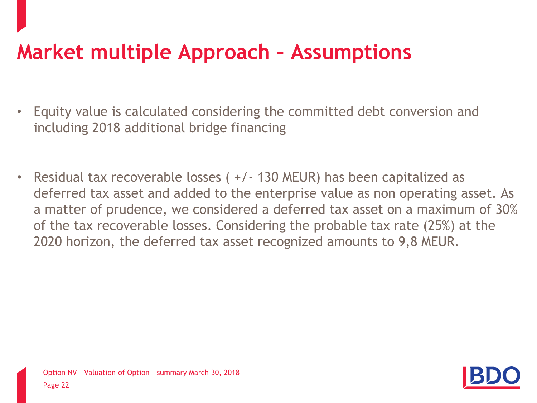## **Market multiple Approach – Assumptions**

- Equity value is calculated considering the committed debt conversion and including 2018 additional bridge financing
- Residual tax recoverable losses ( +/- 130 MEUR) has been capitalized as deferred tax asset and added to the enterprise value as non operating asset. As a matter of prudence, we considered a deferred tax asset on a maximum of 30% of the tax recoverable losses. Considering the probable tax rate (25%) at the 2020 horizon, the deferred tax asset recognized amounts to 9,8 MEUR.

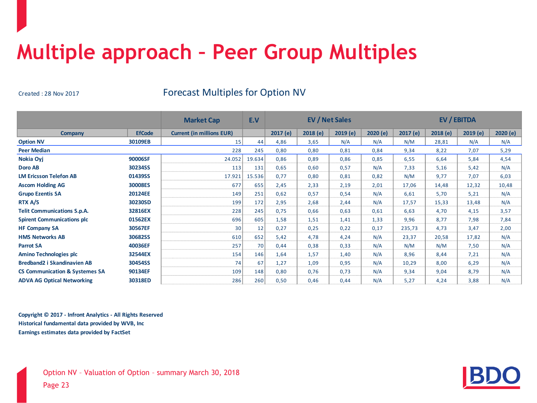## <span id="page-22-0"></span>**Multiple approach – Peer Group Multiples**

Created : 28 Nov 2017 Forecast Multiples for Option NV

|                                           |               | <b>Market Cap</b>                | E.V    | <b>EV / Net Sales</b> |         |         | EV / EBITDA |         |         |         |         |
|-------------------------------------------|---------------|----------------------------------|--------|-----------------------|---------|---------|-------------|---------|---------|---------|---------|
| Company                                   | <b>EfCode</b> | <b>Current (in millions EUR)</b> |        | 2017(e)               | 2018(e) | 2019(e) | 2020(e)     | 2017(e) | 2018(e) | 2019(e) | 2020(e) |
| <b>Option NV</b>                          | 30109EB       | 15                               | 44     | 4,86                  | 3,65    | N/A     | N/A         | N/M     | 28,81   | N/A     | N/A     |
| <b>Peer Median</b>                        |               | 228                              | 245    | 0,80                  | 0,80    | 0,81    | 0,84        | 9,34    | 8,22    | 7,07    | 5,29    |
| Nokia Oyj                                 | 90006SF       | 24.052                           | 19.634 | 0,86                  | 0,89    | 0,86    | 0,85        | 6,55    | 6,64    | 5,84    | 4,54    |
| Doro AB                                   | 30234SS       | 113                              | 131    | 0,65                  | 0,60    | 0,57    | N/A         | 7,33    | 5,16    | 5,42    | N/A     |
| <b>LM Ericsson Telefon AB</b>             | 01439SS       | 17.921                           | 15.536 | 0,77                  | 0,80    | 0,81    | 0,82        | N/M     | 9,77    | 7,07    | 6,03    |
| <b>Ascom Holding AG</b>                   | 30008ES       | 677                              | 655    | 2,45                  | 2,33    | 2,19    | 2,01        | 17,06   | 14,48   | 12,32   | 10,48   |
| <b>Grupo Ezentis SA</b>                   | 20124EE       | 149                              | 251    | 0,62                  | 0,57    | 0,54    | N/A         | 6,61    | 5,70    | 5,21    | N/A     |
| RTX A/S                                   | 30230SD       | 199                              | 172    | 2,95                  | 2,68    | 2,44    | N/A         | 17,57   | 15,33   | 13,48   | N/A     |
| <b>Telit Communications S.p.A.</b>        | 32816EX       | 228                              | 245    | 0,75                  | 0,66    | 0,63    | 0,61        | 6,63    | 4,70    | 4,15    | 3,57    |
| <b>Spirent Communications plc</b>         | 01562EX       | 696                              | 605    | 1,58                  | 1,51    | 1,41    | 1,33        | 9,96    | 8,77    | 7,98    | 7,84    |
| <b>HF Company SA</b>                      | 30567EF       | 30                               | 12     | 0,27                  | 0,25    | 0,22    | 0,17        | 235,73  | 4,73    | 3,47    | 2,00    |
| <b>HMS Networks AB</b>                    | 30682SS       | 610                              | 652    | 5,42                  | 4,78    | 4,24    | N/A         | 23,37   | 20,58   | 17,82   | N/A     |
| <b>Parrot SA</b>                          | 40036EF       | 257                              | 70     | 0,44                  | 0,38    | 0,33    | N/A         | N/M     | N/M     | 7,50    | N/A     |
| <b>Amino Technologies plc</b>             | 32544EX       | 154                              | 146    | 1,64                  | 1,57    | 1,40    | N/A         | 8,96    | 8.44    | 7,21    | N/A     |
| <b>Bredband2 i Skandinavien AB</b>        | 30454SS       | 74                               | 67     | 1,27                  | 1,09    | 0,95    | N/A         | 10,29   | 8,00    | 6,29    | N/A     |
| <b>CS Communication &amp; Systemes SA</b> | 90134EF       | 109                              | 148    | 0,80                  | 0,76    | 0,73    | N/A         | 9,34    | 9,04    | 8,79    | N/A     |
| <b>ADVA AG Optical Networking</b>         | 30318ED       | 286                              | 260    | 0,50                  | 0.46    | 0,44    | N/A         | 5,27    | 4,24    | 3,88    | N/A     |

**Copyright © 2017 - Infront Analytics - All Rights Reserved Historical fundamental data provided by WVB, Inc Earnings estimates data provided by FactSet**